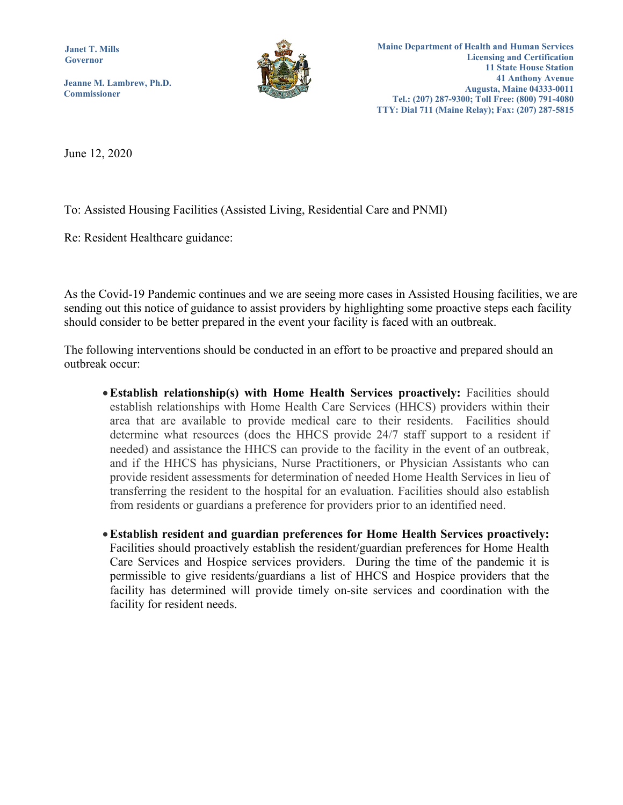**Janet T. Mills Governor**

**Jeanne M. Lambrew, Ph.D. Commissioner**



June 12, 2020

To: Assisted Housing Facilities (Assisted Living, Residential Care and PNMI)

Re: Resident Healthcare guidance:

As the Covid-19 Pandemic continues and we are seeing more cases in Assisted Housing facilities, we are sending out this notice of guidance to assist providers by highlighting some proactive steps each facility should consider to be better prepared in the event your facility is faced with an outbreak.

The following interventions should be conducted in an effort to be proactive and prepared should an outbreak occur:

•**Establish relationship(s) with Home Health Services proactively:** Facilities should establish relationships with Home Health Care Services (HHCS) providers within their area that are available to provide medical care to their residents. Facilities should determine what resources (does the HHCS provide 24/7 staff support to a resident if needed) and assistance the HHCS can provide to the facility in the event of an outbreak, and if the HHCS has physicians, Nurse Practitioners, or Physician Assistants who can provide resident assessments for determination of needed Home Health Services in lieu of transferring the resident to the hospital for an evaluation. Facilities should also establish from residents or guardians a preference for providers prior to an identified need.

•**Establish resident and guardian preferences for Home Health Services proactively:**  Facilities should proactively establish the resident/guardian preferences for Home Health Care Services and Hospice services providers. During the time of the pandemic it is permissible to give residents/guardians a list of HHCS and Hospice providers that the facility has determined will provide timely on-site services and coordination with the facility for resident needs.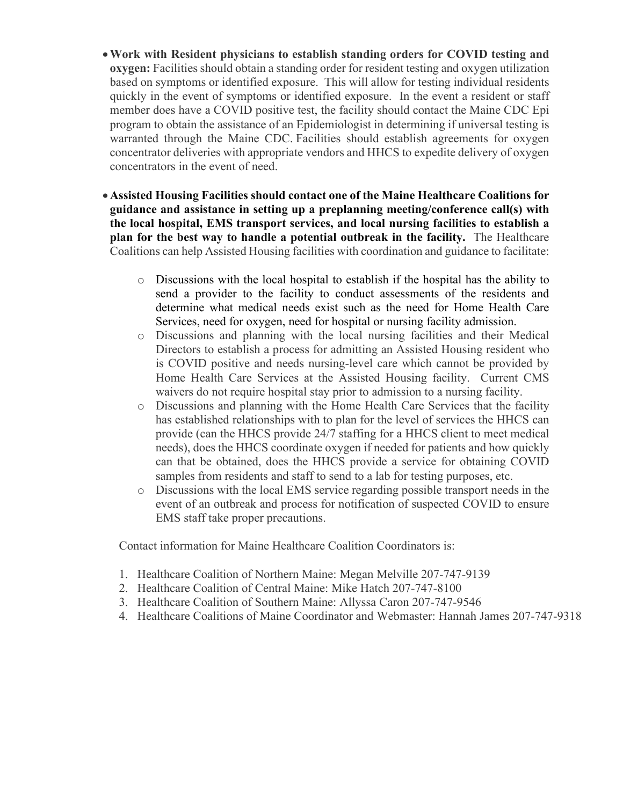- •**Work with Resident physicians to establish standing orders for COVID testing and oxygen:** Facilities should obtain a standing order for resident testing and oxygen utilization based on symptoms or identified exposure. This will allow for testing individual residents quickly in the event of symptoms or identified exposure. In the event a resident or staff member does have a COVID positive test, the facility should contact the Maine CDC Epi program to obtain the assistance of an Epidemiologist in determining if universal testing is warranted through the Maine CDC. Facilities should establish agreements for oxygen concentrator deliveries with appropriate vendors and HHCS to expedite delivery of oxygen concentrators in the event of need.
- •**Assisted Housing Facilities should contact one of the Maine Healthcare Coalitions for guidance and assistance in setting up a preplanning meeting/conference call(s) with the local hospital, EMS transport services, and local nursing facilities to establish a plan for the best way to handle a potential outbreak in the facility.** The Healthcare Coalitions can help Assisted Housing facilities with coordination and guidance to facilitate:
	- o Discussions with the local hospital to establish if the hospital has the ability to send a provider to the facility to conduct assessments of the residents and determine what medical needs exist such as the need for Home Health Care Services, need for oxygen, need for hospital or nursing facility admission.
	- o Discussions and planning with the local nursing facilities and their Medical Directors to establish a process for admitting an Assisted Housing resident who is COVID positive and needs nursing-level care which cannot be provided by Home Health Care Services at the Assisted Housing facility. Current CMS waivers do not require hospital stay prior to admission to a nursing facility.
	- o Discussions and planning with the Home Health Care Services that the facility has established relationships with to plan for the level of services the HHCS can provide (can the HHCS provide 24/7 staffing for a HHCS client to meet medical needs), does the HHCS coordinate oxygen if needed for patients and how quickly can that be obtained, does the HHCS provide a service for obtaining COVID samples from residents and staff to send to a lab for testing purposes, etc.
	- o Discussions with the local EMS service regarding possible transport needs in the event of an outbreak and process for notification of suspected COVID to ensure EMS staff take proper precautions.

Contact information for Maine Healthcare Coalition Coordinators is:

- 1. Healthcare Coalition of Northern Maine: Megan Melville 207-747-9139
- 2. Healthcare Coalition of Central Maine: Mike Hatch 207-747-8100
- 3. Healthcare Coalition of Southern Maine: Allyssa Caron 207-747-9546
- 4. Healthcare Coalitions of Maine Coordinator and Webmaster: Hannah James 207-747-9318